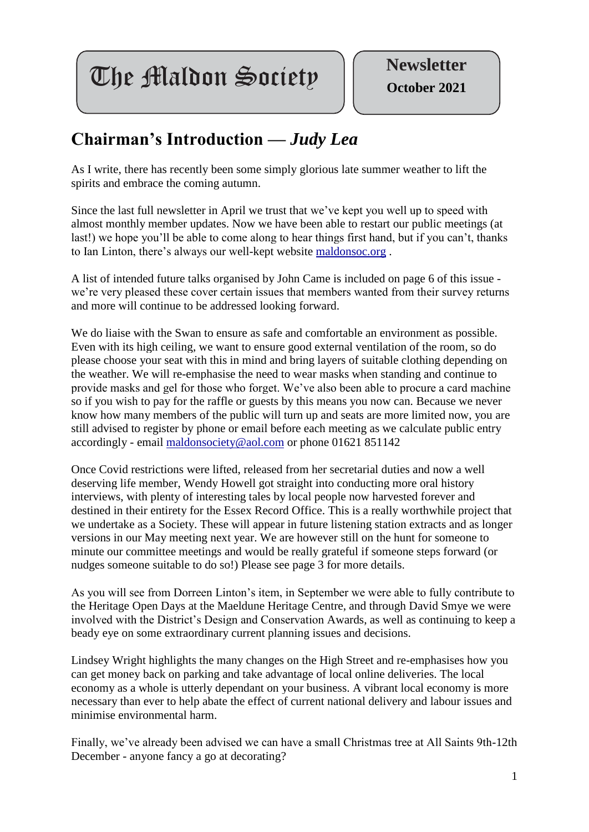**The Maldon Society | Newsletter** 

## **Chairman's Introduction —** *Judy Lea*

As I write, there has recently been some simply glorious late summer weather to lift the spirits and embrace the coming autumn.

Since the last full newsletter in April we trust that we've kept you well up to speed with almost monthly member updates. Now we have been able to restart our public meetings (at last!) we hope you'll be able to come along to hear things first hand, but if you can't, thanks to Ian Linton, there's always our well-kept website [maldonsoc.org](http://maldonso.org/) .

A list of intended future talks organised by John Came is included on page 6 of this issue we're very pleased these cover certain issues that members wanted from their survey returns and more will continue to be addressed looking forward.

We do liaise with the Swan to ensure as safe and comfortable an environment as possible. Even with its high ceiling, we want to ensure good external ventilation of the room, so do please choose your seat with this in mind and bring layers of suitable clothing depending on the weather. We will re-emphasise the need to wear masks when standing and continue to provide masks and gel for those who forget. We've also been able to procure a card machine so if you wish to pay for the raffle or guests by this means you now can. Because we never know how many members of the public will turn up and seats are more limited now, you are still advised to register by phone or email before each meeting as we calculate public entry accordingly - email [maldonsociety@aol.com](mailto:maldonsociety@aol.com) or phone 01621 851142

Once Covid restrictions were lifted, released from her secretarial duties and now a well deserving life member, Wendy Howell got straight into conducting more oral history interviews, with plenty of interesting tales by local people now harvested forever and destined in their entirety for the Essex Record Office. This is a really worthwhile project that we undertake as a Society. These will appear in future listening station extracts and as longer versions in our May meeting next year. We are however still on the hunt for someone to minute our committee meetings and would be really grateful if someone steps forward (or nudges someone suitable to do so!) Please see page 3 for more details.

As you will see from Dorreen Linton's item, in September we were able to fully contribute to the Heritage Open Days at the Maeldune Heritage Centre, and through David Smye we were involved with the District's Design and Conservation Awards, as well as continuing to keep a beady eye on some extraordinary current planning issues and decisions.

Lindsey Wright highlights the many changes on the High Street and re-emphasises how you can get money back on parking and take advantage of local online deliveries. The local economy as a whole is utterly dependant on your business. A vibrant local economy is more necessary than ever to help abate the effect of current national delivery and labour issues and minimise environmental harm.

Finally, we've already been advised we can have a small Christmas tree at All Saints 9th-12th December - anyone fancy a go at decorating?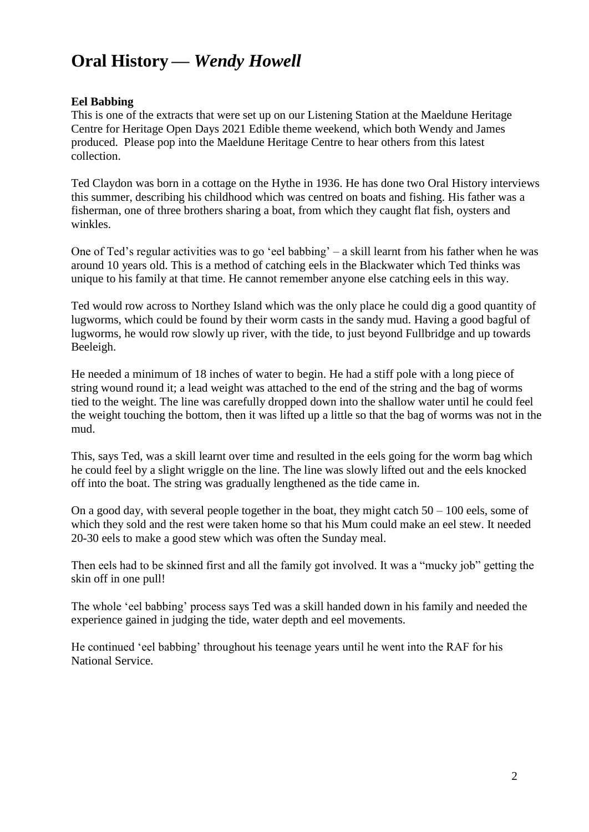# **Oral History —** *Wendy Howell*

### **Eel Babbing**

This is one of the extracts that were set up on our Listening Station at the Maeldune Heritage Centre for Heritage Open Days 2021 Edible theme weekend, which both Wendy and James produced. Please pop into the Maeldune Heritage Centre to hear others from this latest collection.

Ted Claydon was born in a cottage on the Hythe in 1936. He has done two Oral History interviews this summer, describing his childhood which was centred on boats and fishing. His father was a fisherman, one of three brothers sharing a boat, from which they caught flat fish, oysters and winkles.

One of Ted's regular activities was to go 'eel babbing' – a skill learnt from his father when he was around 10 years old. This is a method of catching eels in the Blackwater which Ted thinks was unique to his family at that time. He cannot remember anyone else catching eels in this way.

Ted would row across to Northey Island which was the only place he could dig a good quantity of lugworms, which could be found by their worm casts in the sandy mud. Having a good bagful of lugworms, he would row slowly up river, with the tide, to just beyond Fullbridge and up towards Beeleigh.

He needed a minimum of 18 inches of water to begin. He had a stiff pole with a long piece of string wound round it; a lead weight was attached to the end of the string and the bag of worms tied to the weight. The line was carefully dropped down into the shallow water until he could feel the weight touching the bottom, then it was lifted up a little so that the bag of worms was not in the mud.

This, says Ted, was a skill learnt over time and resulted in the eels going for the worm bag which he could feel by a slight wriggle on the line. The line was slowly lifted out and the eels knocked off into the boat. The string was gradually lengthened as the tide came in.

On a good day, with several people together in the boat, they might catch  $50 - 100$  eels, some of which they sold and the rest were taken home so that his Mum could make an eel stew. It needed 20-30 eels to make a good stew which was often the Sunday meal.

Then eels had to be skinned first and all the family got involved. It was a "mucky job" getting the skin off in one pull!

The whole 'eel babbing' process says Ted was a skill handed down in his family and needed the experience gained in judging the tide, water depth and eel movements.

He continued 'eel babbing' throughout his teenage years until he went into the RAF for his National Service.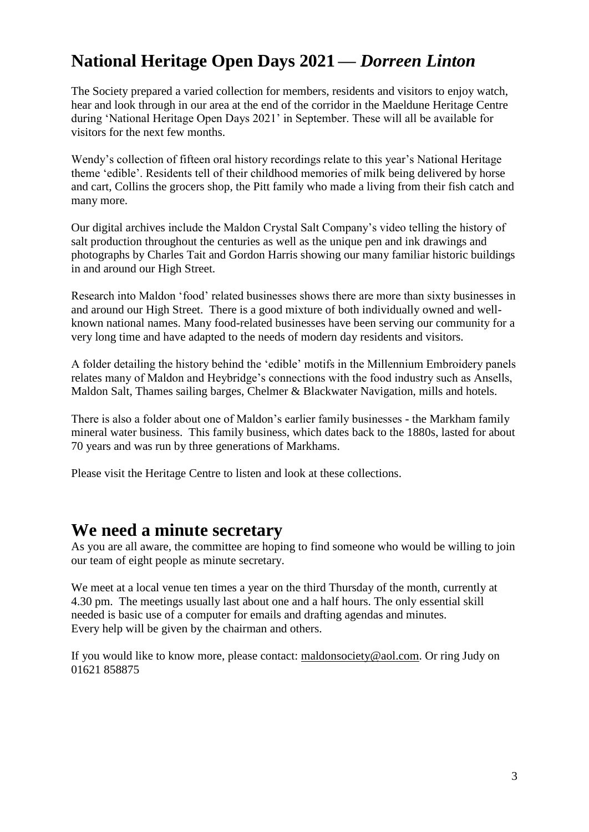## **National Heritage Open Days 2021 —** *Dorreen Linton*

The Society prepared a varied collection for members, residents and visitors to enjoy watch, hear and look through in our area at the end of the corridor in the Maeldune Heritage Centre during 'National Heritage Open Days 2021' in September. These will all be available for visitors for the next few months.

Wendy's collection of fifteen oral history recordings relate to this year's National Heritage theme 'edible'. Residents tell of their childhood memories of milk being delivered by horse and cart, Collins the grocers shop, the Pitt family who made a living from their fish catch and many more.

Our digital archives include the Maldon Crystal Salt Company's video telling the history of salt production throughout the centuries as well as the unique pen and ink drawings and photographs by Charles Tait and Gordon Harris showing our many familiar historic buildings in and around our High Street.

Research into Maldon 'food' related businesses shows there are more than sixty businesses in and around our High Street. There is a good mixture of both individually owned and wellknown national names. Many food-related businesses have been serving our community for a very long time and have adapted to the needs of modern day residents and visitors.

A folder detailing the history behind the 'edible' motifs in the Millennium Embroidery panels relates many of Maldon and Heybridge's connections with the food industry such as Ansells, Maldon Salt, Thames sailing barges, Chelmer & Blackwater Navigation, mills and hotels.

There is also a folder about one of Maldon's earlier family businesses - the Markham family mineral water business. This family business, which dates back to the 1880s, lasted for about 70 years and was run by three generations of Markhams.

Please visit the Heritage Centre to listen and look at these collections.

### **We need a minute secretary**

As you are all aware, the committee are hoping to find someone who would be willing to join our team of eight people as minute secretary.

We meet at a local venue ten times a year on the third Thursday of the month, currently at 4.30 pm. The meetings usually last about one and a half hours. The only essential skill needed is basic use of a computer for emails and drafting agendas and minutes. Every help will be given by the chairman and others.

If you would like to know more, please contact: [maldonsociety@aol.com.](mailto:maldonsociety@aol.com) Or ring Judy on 01621 858875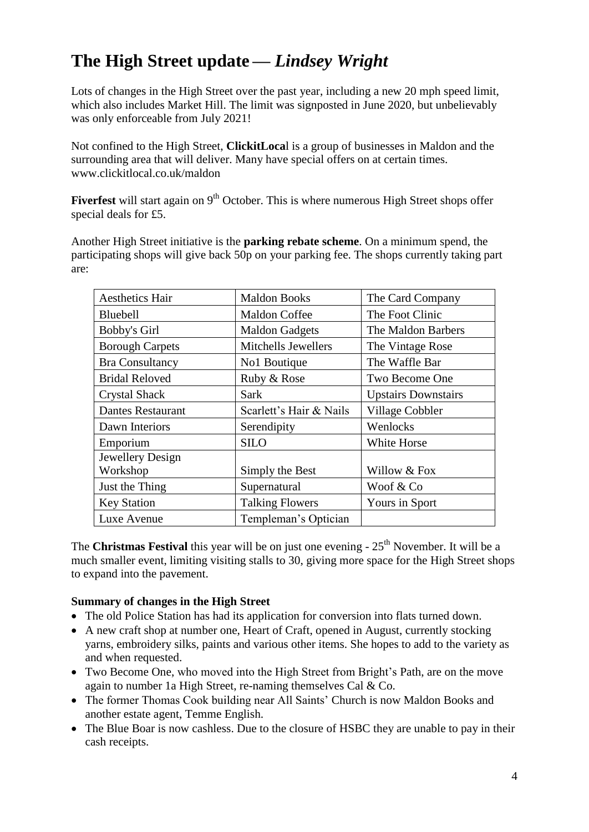# **The High Street update —** *Lindsey Wright*

Lots of changes in the High Street over the past year, including a new 20 mph speed limit, which also includes Market Hill. The limit was signposted in June 2020, but unbelievably was only enforceable from July 2021!

Not confined to the High Street, **ClickitLoca**l is a group of businesses in Maldon and the surrounding area that will deliver. Many have special offers on at certain times. [www.clickitlocal.co.uk/maldon](http://www.clickitlocal.co.uk/maldon) 

**Fiverfest** will start again on 9<sup>th</sup> October. This is where numerous High Street shops offer special deals for £5.

Another High Street initiative is the **parking rebate scheme**. On a minimum spend, the participating shops will give back 50p on your parking fee. The shops currently taking part are:

| <b>Aesthetics Hair</b>   | <b>Maldon Books</b>     | The Card Company           |
|--------------------------|-------------------------|----------------------------|
| Bluebell                 | <b>Maldon Coffee</b>    | The Foot Clinic            |
| Bobby's Girl             | <b>Maldon Gadgets</b>   | The Maldon Barbers         |
| <b>Borough Carpets</b>   | Mitchells Jewellers     | The Vintage Rose           |
| <b>Bra Consultancy</b>   | No1 Boutique            | The Waffle Bar             |
| <b>Bridal Reloved</b>    | Ruby & Rose             | Two Become One             |
| <b>Crystal Shack</b>     | <b>Sark</b>             | <b>Upstairs Downstairs</b> |
| <b>Dantes Restaurant</b> | Scarlett's Hair & Nails | Village Cobbler            |
| Dawn Interiors           | Serendipity             | Wenlocks                   |
| Emporium                 | <b>SILO</b>             | White Horse                |
| Jewellery Design         |                         |                            |
| Workshop                 | Simply the Best         | Willow & Fox               |
| Just the Thing           | Supernatural            | Woof & Co                  |
| <b>Key Station</b>       | <b>Talking Flowers</b>  | Yours in Sport             |
| Luxe Avenue              | Templeman's Optician    |                            |

The **Christmas Festival** this year will be on just one evening - 25<sup>th</sup> November. It will be a much smaller event, limiting visiting stalls to 30, giving more space for the High Street shops to expand into the pavement.

#### **Summary of changes in the High Street**

- The old Police Station has had its application for conversion into flats turned down.
- A new craft shop at number one, Heart of Craft, opened in August, currently stocking yarns, embroidery silks, paints and various other items. She hopes to add to the variety as and when requested.
- Two Become One, who moved into the High Street from Bright's Path, are on the move again to number 1a High Street, re-naming themselves Cal & Co.
- The former Thomas Cook building near All Saints' Church is now Maldon Books and another estate agent, Temme English.
- The Blue Boar is now cashless. Due to the closure of HSBC they are unable to pay in their cash receipts.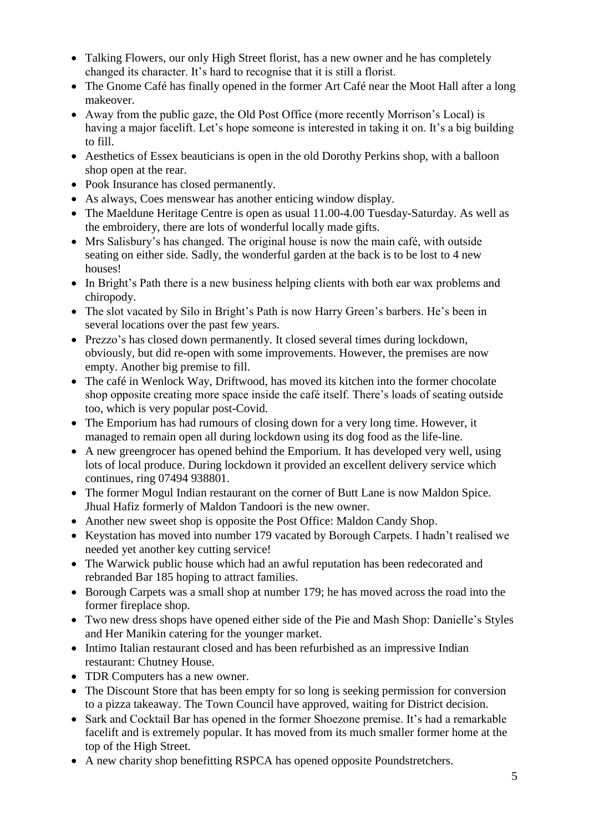- Talking Flowers, our only High Street florist, has a new owner and he has completely changed its character. It's hard to recognise that it is still a florist.
- The Gnome Café has finally opened in the former Art Café near the Moot Hall after a long makeover.
- Away from the public gaze, the Old Post Office (more recently Morrison's Local) is having a major facelift. Let's hope someone is interested in taking it on. It's a big building to fill.
- Aesthetics of Essex beauticians is open in the old Dorothy Perkins shop, with a balloon shop open at the rear.
- Pook Insurance has closed permanently.
- As always, Coes menswear has another enticing window display.
- The Maeldune Heritage Centre is open as usual 11.00-4.00 Tuesday-Saturday. As well as the embroidery, there are lots of wonderful locally made gifts.
- Mrs Salisbury's has changed. The original house is now the main café, with outside seating on either side. Sadly, the wonderful garden at the back is to be lost to 4 new houses!
- In Bright's Path there is a new business helping clients with both ear wax problems and chiropody.
- The slot vacated by Silo in Bright's Path is now Harry Green's barbers. He's been in several locations over the past few years.
- Prezzo's has closed down permanently. It closed several times during lockdown, obviously, but did re-open with some improvements. However, the premises are now empty. Another big premise to fill.
- The café in Wenlock Way, Driftwood, has moved its kitchen into the former chocolate shop opposite creating more space inside the café itself. There's loads of seating outside too, which is very popular post-Covid.
- The Emporium has had rumours of closing down for a very long time. However, it managed to remain open all during lockdown using its dog food as the life-line.
- A new greengrocer has opened behind the Emporium. It has developed very well, using lots of local produce. During lockdown it provided an excellent delivery service which continues, ring 07494 938801.
- The former Mogul Indian restaurant on the corner of Butt Lane is now Maldon Spice. Jhual Hafiz formerly of Maldon Tandoori is the new owner.
- Another new sweet shop is opposite the Post Office: Maldon Candy Shop.
- Keystation has moved into number 179 vacated by Borough Carpets. I hadn't realised we needed yet another key cutting service!
- The Warwick public house which had an awful reputation has been redecorated and rebranded Bar 185 hoping to attract families.
- Borough Carpets was a small shop at number 179; he has moved across the road into the former fireplace shop.
- Two new dress shops have opened either side of the Pie and Mash Shop: Danielle's Styles and Her Manikin catering for the younger market.
- Intimo Italian restaurant closed and has been refurbished as an impressive Indian restaurant: Chutney House.
- TDR Computers has a new owner.
- The Discount Store that has been empty for so long is seeking permission for conversion to a pizza takeaway. The Town Council have approved, waiting for District decision.
- Sark and Cocktail Bar has opened in the former Shoezone premise. It's had a remarkable facelift and is extremely popular. It has moved from its much smaller former home at the top of the High Street.
- A new charity shop benefitting RSPCA has opened opposite Poundstretchers.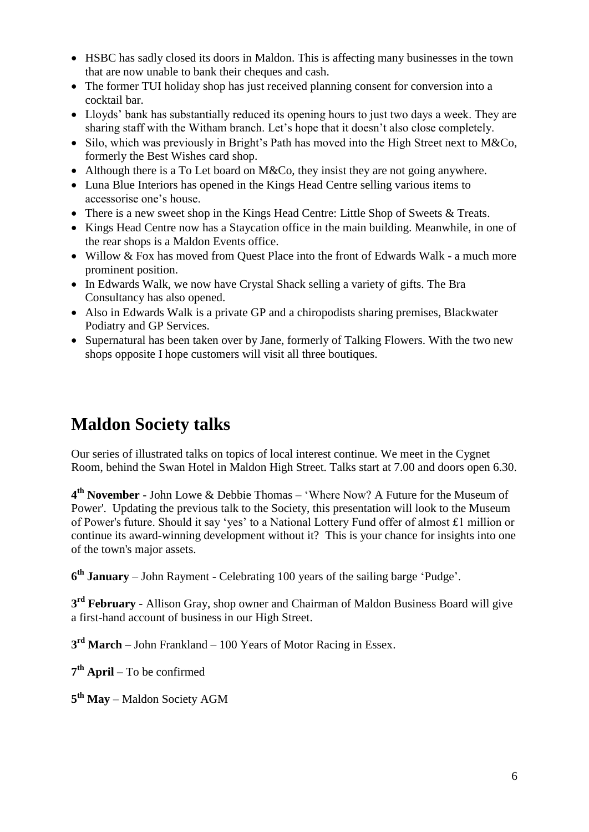- HSBC has sadly closed its doors in Maldon. This is affecting many businesses in the town that are now unable to bank their cheques and cash.
- The former TUI holiday shop has just received planning consent for conversion into a cocktail bar.
- Lloyds' bank has substantially reduced its opening hours to just two days a week. They are sharing staff with the Witham branch. Let's hope that it doesn't also close completely.
- Silo, which was previously in Bright's Path has moved into the High Street next to M&Co, formerly the Best Wishes card shop.
- Although there is a To Let board on M&Co, they insist they are not going anywhere.
- Luna Blue Interiors has opened in the Kings Head Centre selling various items to accessorise one's house.
- There is a new sweet shop in the Kings Head Centre: Little Shop of Sweets & Treats.
- Kings Head Centre now has a Staycation office in the main building. Meanwhile, in one of the rear shops is a Maldon Events office.
- Willow & Fox has moved from Quest Place into the front of Edwards Walk a much more prominent position.
- In Edwards Walk, we now have Crystal Shack selling a variety of gifts. The Bra Consultancy has also opened.
- Also in Edwards Walk is a private GP and a chiropodists sharing premises, Blackwater Podiatry and GP Services.
- Supernatural has been taken over by Jane, formerly of Talking Flowers. With the two new shops opposite I hope customers will visit all three boutiques.

# **Maldon Society talks**

Our series of illustrated talks on topics of local interest continue. We meet in the Cygnet Room, behind the Swan Hotel in Maldon High Street. Talks start at 7.00 and doors open 6.30.

**4 th November** - John Lowe & Debbie Thomas – 'Where Now? A Future for the Museum of Power'. Updating the previous talk to the Society, this presentation will look to the Museum of Power's future. Should it say 'yes' to a National Lottery Fund offer of almost £1 million or continue its award-winning development without it? This is your chance for insights into one of the town's major assets.

**6 th January** – John Rayment - Celebrating 100 years of the sailing barge 'Pudge'.

**3 rd February** - Allison Gray, shop owner and Chairman of Maldon Business Board will give a first-hand account of business in our High Street.

**3 rd March –** John Frankland – 100 Years of Motor Racing in Essex.

**7 th April** – To be confirmed

**5 th May** – Maldon Society AGM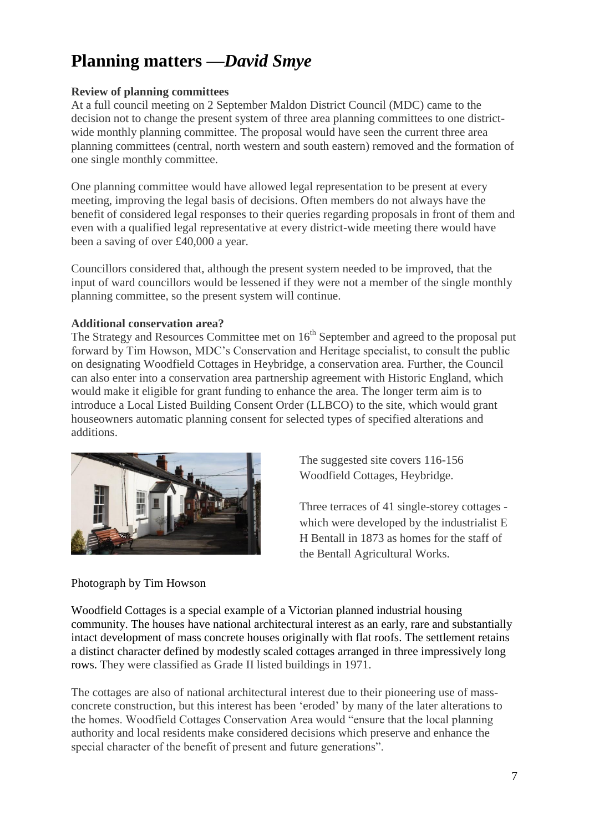# **Planning matters —***David Smye*

#### **Review of planning committees**

At a full council meeting on 2 September Maldon District Council (MDC) came to the decision not to change the present system of three area planning committees to one districtwide monthly planning committee. The proposal would have seen the current three area planning committees (central, north western and south eastern) removed and the formation of one single monthly committee.

One planning committee would have allowed legal representation to be present at every meeting, improving the legal basis of decisions. Often members do not always have the benefit of considered legal responses to their queries regarding proposals in front of them and even with a qualified legal representative at every district-wide meeting there would have been a saving of over £40,000 a year.

Councillors considered that, although the present system needed to be improved, that the input of ward councillors would be lessened if they were not a member of the single monthly planning committee, so the present system will continue.

#### **Additional conservation area?**

The Strategy and Resources Committee met on  $16<sup>th</sup>$  September and agreed to the proposal put forward by Tim Howson, MDC's Conservation and Heritage specialist, to consult the public on designating Woodfield Cottages in Heybridge, a conservation area. Further, the Council can also enter into a conservation area partnership agreement with Historic England, which would make it eligible for grant funding to enhance the area. The longer term aim is to introduce a Local Listed Building Consent Order (LLBCO) to the site, which would grant houseowners automatic planning consent for selected types of specified alterations and additions.



The suggested site covers 116-156 Woodfield Cottages, Heybridge.

Three terraces of 41 single-storey cottages which were developed by the industrialist E H Bentall in 1873 as homes for the staff of the Bentall Agricultural Works.

#### Photograph by Tim Howson

Woodfield Cottages is a special example of a Victorian planned industrial housing community. The houses have national architectural interest as an early, rare and substantially intact development of mass concrete houses originally with flat roofs. The settlement retains a distinct character defined by modestly scaled cottages arranged in three impressively long rows. They were classified as Grade II listed buildings in 1971.

The cottages are also of national architectural interest due to their pioneering use of massconcrete construction, but this interest has been 'eroded' by many of the later alterations to the homes. Woodfield Cottages Conservation Area would "ensure that the local planning authority and local residents make considered decisions which preserve and enhance the special character of the benefit of present and future generations".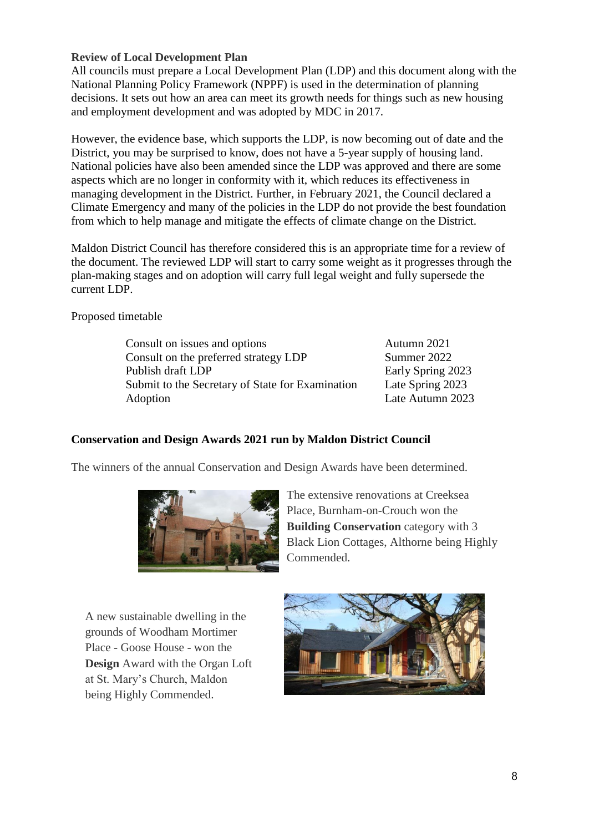#### **Review of Local Development Plan**

All councils must prepare a Local Development Plan (LDP) and this document along with the National Planning Policy Framework (NPPF) is used in the determination of planning decisions. It sets out how an area can meet its growth needs for things such as new housing and employment development and was adopted by MDC in 2017.

However, the evidence base, which supports the LDP, is now becoming out of date and the District, you may be surprised to know, does not have a 5-year supply of housing land. National policies have also been amended since the LDP was approved and there are some aspects which are no longer in conformity with it, which reduces its effectiveness in managing development in the District. Further, in February 2021, the Council declared a Climate Emergency and many of the policies in the LDP do not provide the best foundation from which to help manage and mitigate the effects of climate change on the District.

Maldon District Council has therefore considered this is an appropriate time for a review of the document. The reviewed LDP will start to carry some weight as it progresses through the plan-making stages and on adoption will carry full legal weight and fully supersede the current LDP.

Proposed timetable

Consult on issues and options Consult on the preferred strategy LDP Publish draft LDP Submit to the Secretary of State for Examination Adoption Autumn 2021 Summer 2022 Early Spring 2023 Late Spring 2023 Late Autumn 2023

### **Conservation and Design Awards 2021 run by Maldon District Council**

The winners of the annual Conservation and Design Awards have been determined.



The extensive renovations at Creeksea Place, Burnham-on-Crouch won the **Building Conservation** category with 3 Black Lion Cottages, Althorne being Highly Commended.

A new sustainable dwelling in the grounds of Woodham Mortimer Place - Goose House - won the **Design** Award with the Organ Loft at St. Mary's Church, Maldon being Highly Commended.

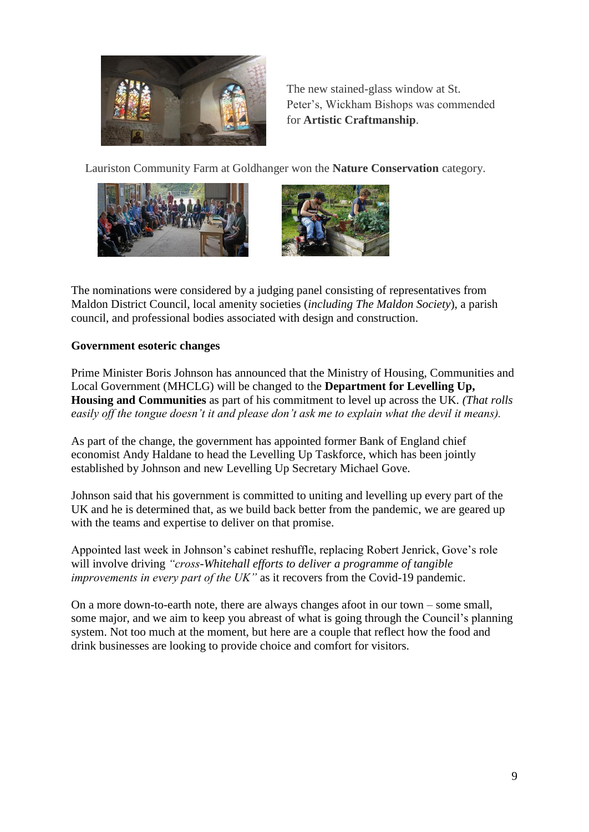

The new stained-glass window at St. Peter's, Wickham Bishops was commended for **Artistic Craftmanship**.

Lauriston Community Farm at Goldhanger won the **Nature Conservation** category.





The nominations were considered by a judging panel consisting of representatives from Maldon District Council, local amenity societies (*including The Maldon Society*), a parish council, and professional bodies associated with design and construction.

### **Government esoteric changes**

Prime Minister Boris Johnson has announced that the Ministry of Housing, Communities and Local Government (MHCLG) will be changed to the **Department for Levelling Up, Housing and Communities** as part of his commitment to level up across the UK. *(That rolls easily off the tongue doesn't it and please don't ask me to explain what the devil it means).*

As part of the change, the government has appointed former Bank of England chief economist Andy Haldane to head the Levelling Up Taskforce, which has been jointly established by Johnson and new Levelling Up Secretary Michael Gove.

Johnson said that his government is committed to uniting and levelling up every part of the UK and he is determined that, as we build back better from the pandemic, we are geared up with the teams and expertise to deliver on that promise.

Appointed last week in Johnson's cabinet reshuffle, replacing Robert Jenrick, Gove's role will involve driving *"cross-Whitehall efforts to deliver a programme of tangible improvements in every part of the UK"* as it recovers from the Covid-19 pandemic.

On a more down-to-earth note, there are always changes afoot in our town – some small, some major, and we aim to keep you abreast of what is going through the Council's planning system. Not too much at the moment, but here are a couple that reflect how the food and drink businesses are looking to provide choice and comfort for visitors.